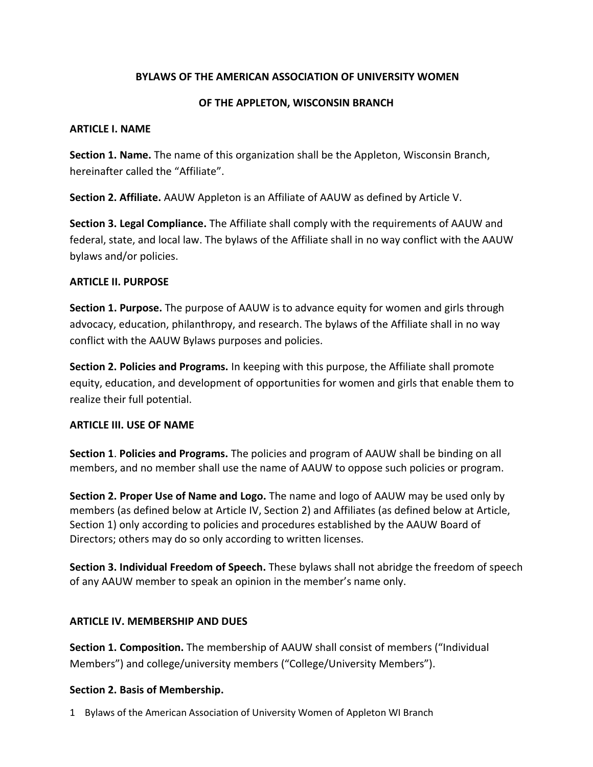# **BYLAWS OF THE AMERICAN ASSOCIATION OF UNIVERSITY WOMEN**

## **OF THE APPLETON, WISCONSIN BRANCH**

#### **ARTICLE I. NAME**

**Section 1. Name.** The name of this organization shall be the Appleton, Wisconsin Branch, hereinafter called the "Affiliate".

**Section 2. Affiliate.** AAUW Appleton is an Affiliate of AAUW as defined by Article V.

**Section 3. Legal Compliance.** The Affiliate shall comply with the requirements of AAUW and federal, state, and local law. The bylaws of the Affiliate shall in no way conflict with the AAUW bylaws and/or policies.

# **ARTICLE II. PURPOSE**

**Section 1. Purpose.** The purpose of AAUW is to advance equity for women and girls through advocacy, education, philanthropy, and research. The bylaws of the Affiliate shall in no way conflict with the AAUW Bylaws purposes and policies.

**Section 2. Policies and Programs.** In keeping with this purpose, the Affiliate shall promote equity, education, and development of opportunities for women and girls that enable them to realize their full potential.

# **ARTICLE III. USE OF NAME**

**Section 1**. **Policies and Programs.** The policies and program of AAUW shall be binding on all members, and no member shall use the name of AAUW to oppose such policies or program.

**Section 2. Proper Use of Name and Logo.** The name and logo of AAUW may be used only by members (as defined below at Article IV, Section 2) and Affiliates (as defined below at Article, Section 1) only according to policies and procedures established by the AAUW Board of Directors; others may do so only according to written licenses.

**Section 3. Individual Freedom of Speech.** These bylaws shall not abridge the freedom of speech of any AAUW member to speak an opinion in the member's name only.

# **ARTICLE IV. MEMBERSHIP AND DUES**

**Section 1. Composition.** The membership of AAUW shall consist of members ("Individual Members") and college/university members ("College/University Members").

# **Section 2. Basis of Membership.**

1 Bylaws of the American Association of University Women of Appleton WI Branch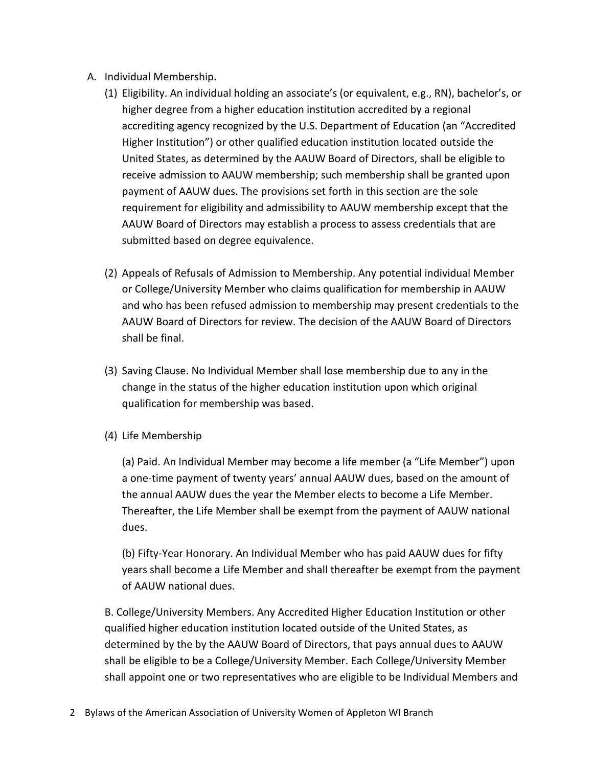- A. Individual Membership.
	- (1) Eligibility. An individual holding an associate's (or equivalent, e.g., RN), bachelor's, or higher degree from a higher education institution accredited by a regional accrediting agency recognized by the U.S. Department of Education (an "Accredited Higher Institution") or other qualified education institution located outside the United States, as determined by the AAUW Board of Directors, shall be eligible to receive admission to AAUW membership; such membership shall be granted upon payment of AAUW dues. The provisions set forth in this section are the sole requirement for eligibility and admissibility to AAUW membership except that the AAUW Board of Directors may establish a process to assess credentials that are submitted based on degree equivalence.
	- (2) Appeals of Refusals of Admission to Membership. Any potential individual Member or College/University Member who claims qualification for membership in AAUW and who has been refused admission to membership may present credentials to the AAUW Board of Directors for review. The decision of the AAUW Board of Directors shall be final.
	- (3) Saving Clause. No Individual Member shall lose membership due to any in the change in the status of the higher education institution upon which original qualification for membership was based.
	- (4) Life Membership

(a) Paid. An Individual Member may become a life member (a "Life Member") upon a one-time payment of twenty years' annual AAUW dues, based on the amount of the annual AAUW dues the year the Member elects to become a Life Member. Thereafter, the Life Member shall be exempt from the payment of AAUW national dues.

(b) Fifty-Year Honorary. An Individual Member who has paid AAUW dues for fifty years shall become a Life Member and shall thereafter be exempt from the payment of AAUW national dues.

B. College/University Members. Any Accredited Higher Education Institution or other qualified higher education institution located outside of the United States, as determined by the by the AAUW Board of Directors, that pays annual dues to AAUW shall be eligible to be a College/University Member. Each College/University Member shall appoint one or two representatives who are eligible to be Individual Members and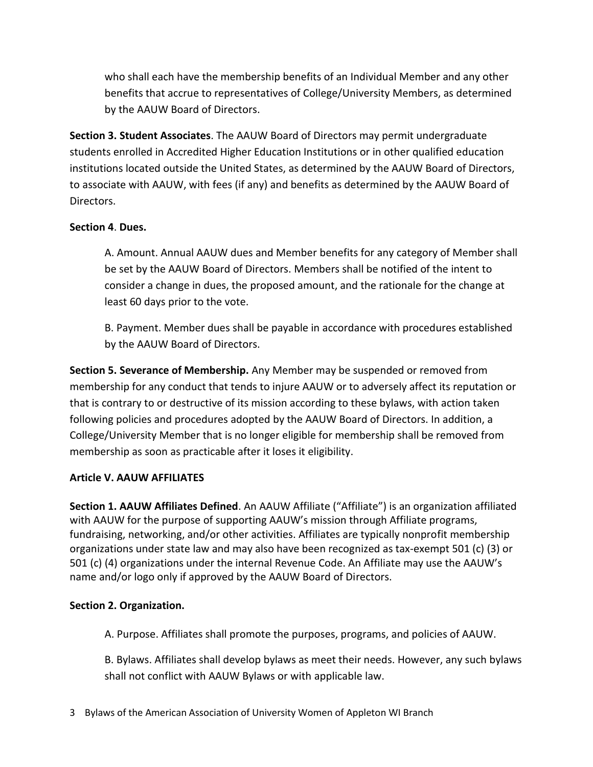who shall each have the membership benefits of an Individual Member and any other benefits that accrue to representatives of College/University Members, as determined by the AAUW Board of Directors.

**Section 3. Student Associates**. The AAUW Board of Directors may permit undergraduate students enrolled in Accredited Higher Education Institutions or in other qualified education institutions located outside the United States, as determined by the AAUW Board of Directors, to associate with AAUW, with fees (if any) and benefits as determined by the AAUW Board of Directors.

# **Section 4**. **Dues.**

A. Amount. Annual AAUW dues and Member benefits for any category of Member shall be set by the AAUW Board of Directors. Members shall be notified of the intent to consider a change in dues, the proposed amount, and the rationale for the change at least 60 days prior to the vote.

B. Payment. Member dues shall be payable in accordance with procedures established by the AAUW Board of Directors.

**Section 5. Severance of Membership.** Any Member may be suspended or removed from membership for any conduct that tends to injure AAUW or to adversely affect its reputation or that is contrary to or destructive of its mission according to these bylaws, with action taken following policies and procedures adopted by the AAUW Board of Directors. In addition, a College/University Member that is no longer eligible for membership shall be removed from membership as soon as practicable after it loses it eligibility.

# **Article V. AAUW AFFILIATES**

**Section 1. AAUW Affiliates Defined**. An AAUW Affiliate ("Affiliate") is an organization affiliated with AAUW for the purpose of supporting AAUW's mission through Affiliate programs, fundraising, networking, and/or other activities. Affiliates are typically nonprofit membership organizations under state law and may also have been recognized as tax-exempt 501 (c) (3) or 501 (c) (4) organizations under the internal Revenue Code. An Affiliate may use the AAUW's name and/or logo only if approved by the AAUW Board of Directors.

# **Section 2. Organization.**

A. Purpose. Affiliates shall promote the purposes, programs, and policies of AAUW.

B. Bylaws. Affiliates shall develop bylaws as meet their needs. However, any such bylaws shall not conflict with AAUW Bylaws or with applicable law.

3 Bylaws of the American Association of University Women of Appleton WI Branch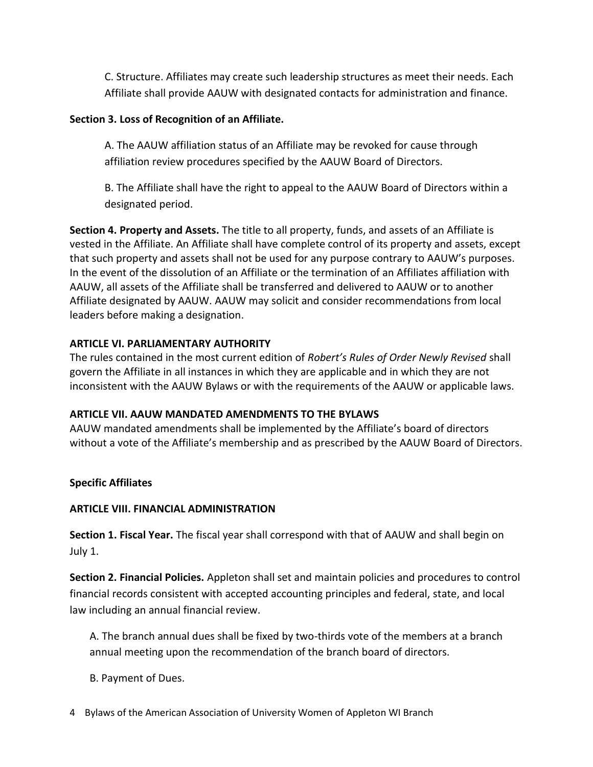C. Structure. Affiliates may create such leadership structures as meet their needs. Each Affiliate shall provide AAUW with designated contacts for administration and finance.

## **Section 3. Loss of Recognition of an Affiliate.**

A. The AAUW affiliation status of an Affiliate may be revoked for cause through affiliation review procedures specified by the AAUW Board of Directors.

B. The Affiliate shall have the right to appeal to the AAUW Board of Directors within a designated period.

**Section 4. Property and Assets.** The title to all property, funds, and assets of an Affiliate is vested in the Affiliate. An Affiliate shall have complete control of its property and assets, except that such property and assets shall not be used for any purpose contrary to AAUW's purposes. In the event of the dissolution of an Affiliate or the termination of an Affiliates affiliation with AAUW, all assets of the Affiliate shall be transferred and delivered to AAUW or to another Affiliate designated by AAUW. AAUW may solicit and consider recommendations from local leaders before making a designation.

## **ARTICLE VI. PARLIAMENTARY AUTHORITY**

The rules contained in the most current edition of *Robert's Rules of Order Newly Revised* shall govern the Affiliate in all instances in which they are applicable and in which they are not inconsistent with the AAUW Bylaws or with the requirements of the AAUW or applicable laws.

#### **ARTICLE VII. AAUW MANDATED AMENDMENTS TO THE BYLAWS**

AAUW mandated amendments shall be implemented by the Affiliate's board of directors without a vote of the Affiliate's membership and as prescribed by the AAUW Board of Directors.

#### **Specific Affiliates**

#### **ARTICLE VIII. FINANCIAL ADMINISTRATION**

**Section 1. Fiscal Year.** The fiscal year shall correspond with that of AAUW and shall begin on July 1.

**Section 2. Financial Policies.** Appleton shall set and maintain policies and procedures to control financial records consistent with accepted accounting principles and federal, state, and local law including an annual financial review.

A. The branch annual dues shall be fixed by two-thirds vote of the members at a branch annual meeting upon the recommendation of the branch board of directors.

B. Payment of Dues.

4 Bylaws of the American Association of University Women of Appleton WI Branch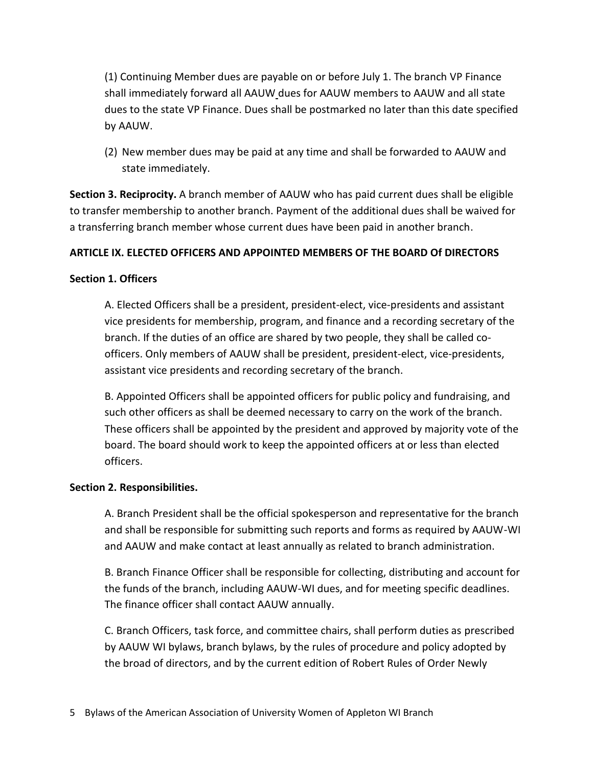(1) Continuing Member dues are payable on or before July 1. The branch VP Finance shall immediately forward all AAUW dues for AAUW members to AAUW and all state dues to the state VP Finance. Dues shall be postmarked no later than this date specified by AAUW.

(2) New member dues may be paid at any time and shall be forwarded to AAUW and state immediately.

**Section 3. Reciprocity.** A branch member of AAUW who has paid current dues shall be eligible to transfer membership to another branch. Payment of the additional dues shall be waived for a transferring branch member whose current dues have been paid in another branch.

# **ARTICLE IX. ELECTED OFFICERS AND APPOINTED MEMBERS OF THE BOARD Of DIRECTORS**

# **Section 1. Officers**

A. Elected Officers shall be a president, president-elect, vice-presidents and assistant vice presidents for membership, program, and finance and a recording secretary of the branch. If the duties of an office are shared by two people, they shall be called coofficers. Only members of AAUW shall be president, president-elect, vice-presidents, assistant vice presidents and recording secretary of the branch.

B. Appointed Officers shall be appointed officers for public policy and fundraising, and such other officers as shall be deemed necessary to carry on the work of the branch. These officers shall be appointed by the president and approved by majority vote of the board. The board should work to keep the appointed officers at or less than elected officers.

# **Section 2. Responsibilities.**

A. Branch President shall be the official spokesperson and representative for the branch and shall be responsible for submitting such reports and forms as required by AAUW-WI and AAUW and make contact at least annually as related to branch administration.

B. Branch Finance Officer shall be responsible for collecting, distributing and account for the funds of the branch, including AAUW-WI dues, and for meeting specific deadlines. The finance officer shall contact AAUW annually.

C. Branch Officers, task force, and committee chairs, shall perform duties as prescribed by AAUW WI bylaws, branch bylaws, by the rules of procedure and policy adopted by the broad of directors, and by the current edition of Robert Rules of Order Newly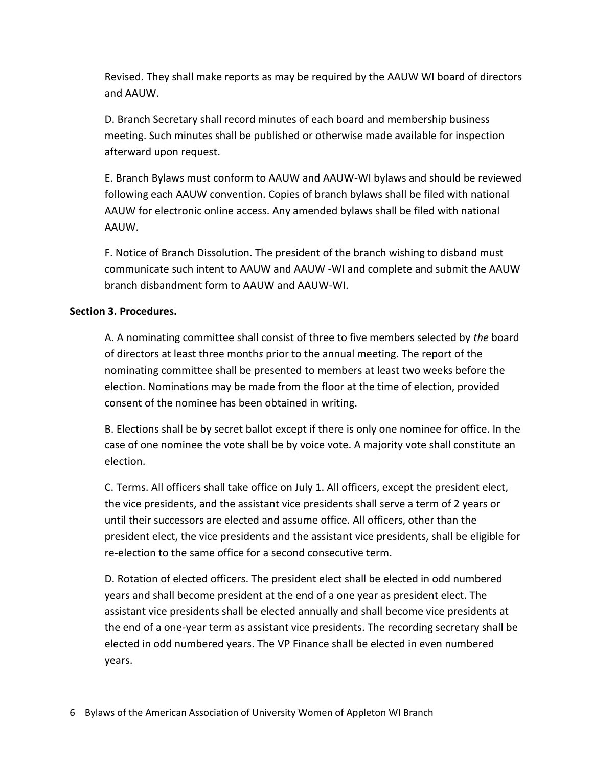Revised. They shall make reports as may be required by the AAUW WI board of directors and AAUW.

D. Branch Secretary shall record minutes of each board and membership business meeting. Such minutes shall be published or otherwise made available for inspection afterward upon request.

E. Branch Bylaws must conform to AAUW and AAUW-WI bylaws and should be reviewed following each AAUW convention. Copies of branch bylaws shall be filed with national AAUW for electronic online access. Any amended bylaws shall be filed with national AAUW.

F. Notice of Branch Dissolution. The president of the branch wishing to disband must communicate such intent to AAUW and AAUW -WI and complete and submit the AAUW branch disbandment form to AAUW and AAUW-WI.

## **Section 3. Procedures.**

A. A nominating committee shall consist of three to five members selected by *the* board of directors at least three month*s* prior to the annual meeting. The report of the nominating committee shall be presented to members at least two weeks before the election. Nominations may be made from the floor at the time of election, provided consent of the nominee has been obtained in writing.

B. Elections shall be by secret ballot except if there is only one nominee for office. In the case of one nominee the vote shall be by voice vote. A majority vote shall constitute an election.

C. Terms. All officers shall take office on July 1. All officers, except the president elect, the vice presidents, and the assistant vice presidents shall serve a term of 2 years or until their successors are elected and assume office. All officers, other than the president elect, the vice presidents and the assistant vice presidents, shall be eligible for re-election to the same office for a second consecutive term.

D. Rotation of elected officers. The president elect shall be elected in odd numbered years and shall become president at the end of a one year as president elect. The assistant vice presidents shall be elected annually and shall become vice presidents at the end of a one-year term as assistant vice presidents. The recording secretary shall be elected in odd numbered years. The VP Finance shall be elected in even numbered years.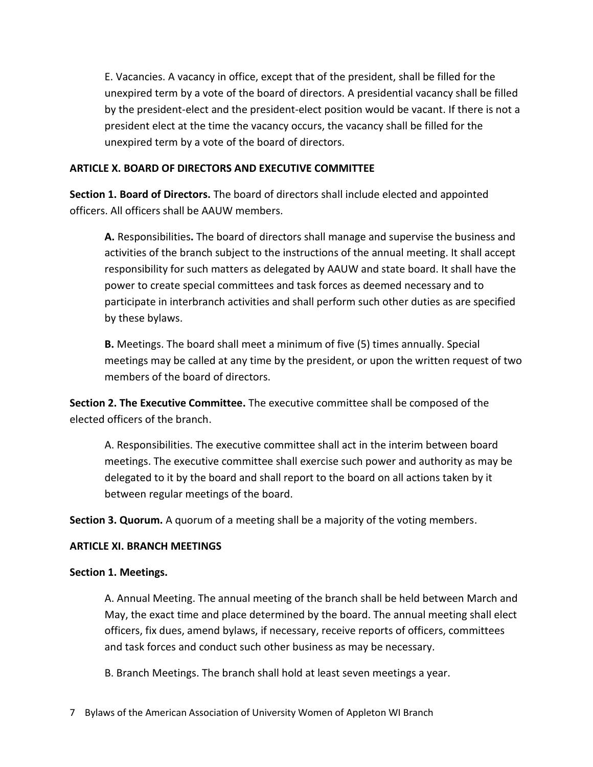E. Vacancies. A vacancy in office, except that of the president, shall be filled for the unexpired term by a vote of the board of directors. A presidential vacancy shall be filled by the president-elect and the president-elect position would be vacant. If there is not a president elect at the time the vacancy occurs, the vacancy shall be filled for the unexpired term by a vote of the board of directors.

## **ARTICLE X. BOARD OF DIRECTORS AND EXECUTIVE COMMITTEE**

**Section 1. Board of Directors.** The board of directors shall include elected and appointed officers. All officers shall be AAUW members.

**A.** Responsibilities**.** The board of directors shall manage and supervise the business and activities of the branch subject to the instructions of the annual meeting. It shall accept responsibility for such matters as delegated by AAUW and state board. It shall have the power to create special committees and task forces as deemed necessary and to participate in interbranch activities and shall perform such other duties as are specified by these bylaws.

**B.** Meetings. The board shall meet a minimum of five (5) times annually. Special meetings may be called at any time by the president, or upon the written request of two members of the board of directors.

**Section 2. The Executive Committee.** The executive committee shall be composed of the elected officers of the branch.

A. Responsibilities. The executive committee shall act in the interim between board meetings. The executive committee shall exercise such power and authority as may be delegated to it by the board and shall report to the board on all actions taken by it between regular meetings of the board.

**Section 3. Quorum.** A quorum of a meeting shall be a majority of the voting members.

## **ARTICLE XI. BRANCH MEETINGS**

#### **Section 1. Meetings.**

A. Annual Meeting. The annual meeting of the branch shall be held between March and May, the exact time and place determined by the board. The annual meeting shall elect officers, fix dues, amend bylaws, if necessary, receive reports of officers, committees and task forces and conduct such other business as may be necessary.

B. Branch Meetings. The branch shall hold at least seven meetings a year.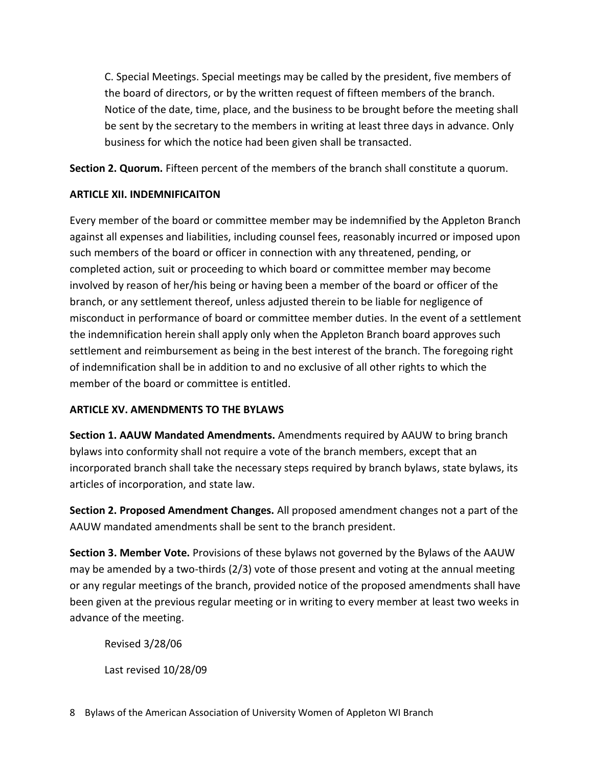C. Special Meetings. Special meetings may be called by the president, five members of the board of directors, or by the written request of fifteen members of the branch. Notice of the date, time, place, and the business to be brought before the meeting shall be sent by the secretary to the members in writing at least three days in advance. Only business for which the notice had been given shall be transacted.

**Section 2. Quorum.** Fifteen percent of the members of the branch shall constitute a quorum.

# **ARTICLE XII. INDEMNIFICAITON**

Every member of the board or committee member may be indemnified by the Appleton Branch against all expenses and liabilities, including counsel fees, reasonably incurred or imposed upon such members of the board or officer in connection with any threatened, pending, or completed action, suit or proceeding to which board or committee member may become involved by reason of her/his being or having been a member of the board or officer of the branch, or any settlement thereof, unless adjusted therein to be liable for negligence of misconduct in performance of board or committee member duties. In the event of a settlement the indemnification herein shall apply only when the Appleton Branch board approves such settlement and reimbursement as being in the best interest of the branch. The foregoing right of indemnification shall be in addition to and no exclusive of all other rights to which the member of the board or committee is entitled.

# **ARTICLE XV. AMENDMENTS TO THE BYLAWS**

**Section 1. AAUW Mandated Amendments.** Amendments required by AAUW to bring branch bylaws into conformity shall not require a vote of the branch members, except that an incorporated branch shall take the necessary steps required by branch bylaws, state bylaws, its articles of incorporation, and state law.

**Section 2. Proposed Amendment Changes.** All proposed amendment changes not a part of the AAUW mandated amendments shall be sent to the branch president.

**Section 3. Member Vote.** Provisions of these bylaws not governed by the Bylaws of the AAUW may be amended by a two-thirds (2/3) vote of those present and voting at the annual meeting or any regular meetings of the branch, provided notice of the proposed amendments shall have been given at the previous regular meeting or in writing to every member at least two weeks in advance of the meeting.

Revised 3/28/06

Last revised 10/28/09